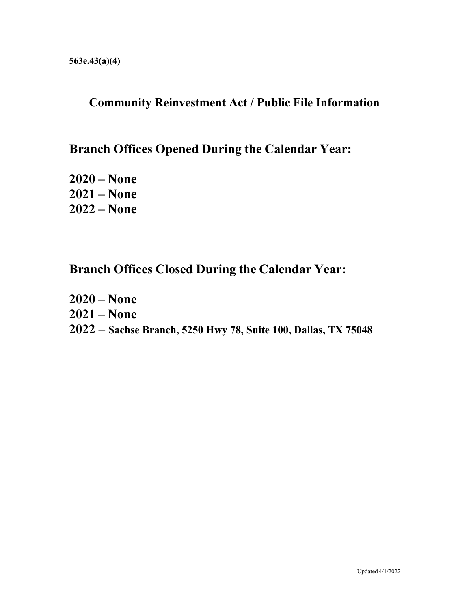## **Community Reinvestment Act / Public File Information**

## **Branch Offices Opened During the Calendar Year:**

**2020 – None 2021 – None 2022 – None**

## **Branch Offices Closed During the Calendar Year:**

**2020 – None 2021 – None 2022 – Sachse Branch, 5250 Hwy 78, Suite 100, Dallas, TX 75048**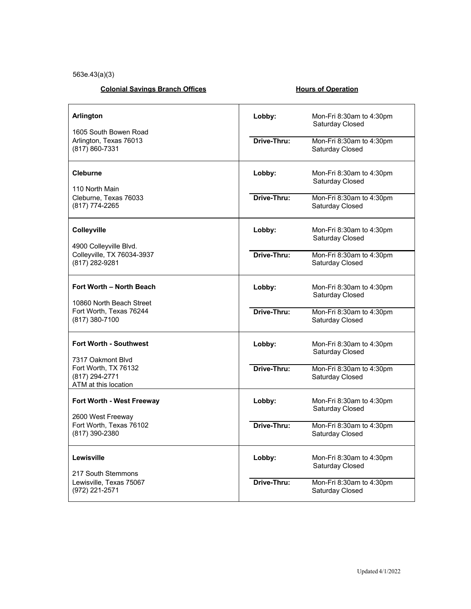563e.43(a)(3)

### **Colonial Savings Branch Offices** Manual Colonial Savings Branch Offices

| Arlington<br>1605 South Bowen Road<br>Arlington, Texas 76013<br>(817) 860-7331                                       | Lobby:<br>Drive-Thru: | Mon-Fri 8:30am to 4:30pm<br>Saturday Closed<br>Mon-Fri 8:30am to 4:30pm<br>Saturday Closed       |  |  |
|----------------------------------------------------------------------------------------------------------------------|-----------------------|--------------------------------------------------------------------------------------------------|--|--|
| <b>Cleburne</b><br>110 North Main<br>Cleburne, Texas 76033<br>(817) 774-2265                                         | Lobby:<br>Drive-Thru: | Mon-Fri $8:30$ am to $4:30$ pm<br>Saturday Closed<br>Mon-Fri 8:30am to 4:30pm<br>Saturday Closed |  |  |
| <b>Colleyville</b><br>4900 Colleyville Blvd.<br>Colleyville, TX 76034-3937<br>(817) 282-9281                         | Lobby:                | Mon-Fri 8:30am to 4:30pm<br>Saturday Closed                                                      |  |  |
|                                                                                                                      | Drive-Thru:           | Mon-Fri 8:30am to 4:30pm<br>Saturday Closed                                                      |  |  |
| Fort Worth - North Beach<br>10860 North Beach Street<br>Fort Worth, Texas 76244<br>(817) 380-7100                    | Lobby:                | Mon-Fri 8:30am to 4:30pm<br>Saturday Closed                                                      |  |  |
|                                                                                                                      | Drive-Thru:           | Mon-Fri 8:30am to 4:30pm<br>Saturday Closed                                                      |  |  |
| <b>Fort Worth - Southwest</b><br>7317 Oakmont Blvd<br>Fort Worth, TX 76132<br>(817) 294-2771<br>ATM at this location | Lobby:                | Mon-Fri 8:30am to 4:30pm<br>Saturday Closed                                                      |  |  |
|                                                                                                                      | Drive-Thru:           | Mon-Fri 8:30am to 4:30pm<br>Saturday Closed                                                      |  |  |
| Fort Worth - West Freeway<br>2600 West Freeway<br>Fort Worth, Texas 76102<br>(817) 390-2380                          | Lobby:                | Mon-Fri 8:30am to 4:30pm<br>Saturday Closed                                                      |  |  |
|                                                                                                                      | Drive-Thru:           | Mon-Fri 8:30am to 4:30pm<br>Saturday Closed                                                      |  |  |
| Lewisville<br>217 South Stemmons<br>Lewisville, Texas 75067<br>(972) 221-2571                                        | Lobby:                | Mon-Fri 8:30am to 4:30pm<br>Saturday Closed                                                      |  |  |
|                                                                                                                      | Drive-Thru:           | Mon-Fri 8:30am to 4:30pm<br>Saturday Closed                                                      |  |  |